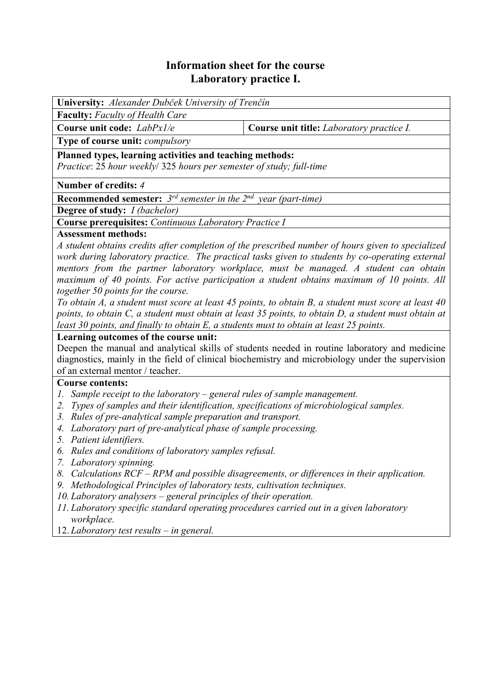# **Information sheet for the course Laboratory practice I.**

| University: Alexander Dubček University of Trenčín                                                   |                                           |  |  |  |  |  |
|------------------------------------------------------------------------------------------------------|-------------------------------------------|--|--|--|--|--|
| <b>Faculty:</b> Faculty of Health Care                                                               |                                           |  |  |  |  |  |
| Course unit code: LabPx1/e                                                                           | Course unit title: Laboratory practice I. |  |  |  |  |  |
| Type of course unit: compulsory                                                                      |                                           |  |  |  |  |  |
| Planned types, learning activities and teaching methods:                                             |                                           |  |  |  |  |  |
| Practice: 25 hour weekly/ 325 hours per semester of study; full-time                                 |                                           |  |  |  |  |  |
| Number of credits: 4                                                                                 |                                           |  |  |  |  |  |
| <b>Recommended semester:</b> $3^{rd}$ semester in the $2^{nd}$ year (part-time)                      |                                           |  |  |  |  |  |
| <b>Degree of study:</b> <i>I (bachelor)</i>                                                          |                                           |  |  |  |  |  |
| <b>Course prerequisites:</b> Continuous Laboratory Practice I                                        |                                           |  |  |  |  |  |
| <b>Assessment methods:</b>                                                                           |                                           |  |  |  |  |  |
| A student obtains credits after completion of the prescribed number of hours given to specialized    |                                           |  |  |  |  |  |
| work during laboratory practice. The practical tasks given to students by co-operating external      |                                           |  |  |  |  |  |
| mentors from the partner laboratory workplace, must be managed. A student can obtain                 |                                           |  |  |  |  |  |
| maximum of 40 points. For active participation a student obtains maximum of 10 points. All           |                                           |  |  |  |  |  |
| together 50 points for the course.                                                                   |                                           |  |  |  |  |  |
| To obtain A, a student must score at least 45 points, to obtain B, a student must score at least 40  |                                           |  |  |  |  |  |
| points, to obtain C, a student must obtain at least 35 points, to obtain D, a student must obtain at |                                           |  |  |  |  |  |
| least 30 points, and finally to obtain E, a students must to obtain at least 25 points.              |                                           |  |  |  |  |  |
| Learning outcomes of the course unit:                                                                |                                           |  |  |  |  |  |
| Deepen the manual and analytical skills of students needed in routine laboratory and medicine        |                                           |  |  |  |  |  |
| diagnostics, mainly in the field of clinical biochemistry and microbiology under the supervision     |                                           |  |  |  |  |  |
| of an external mentor / teacher.                                                                     |                                           |  |  |  |  |  |
| <b>Course contents:</b>                                                                              |                                           |  |  |  |  |  |
| 1. Sample receipt to the laboratory – general rules of sample management.                            |                                           |  |  |  |  |  |
| 2. Twoo of samples and their identification, specifications of microbiological samples               |                                           |  |  |  |  |  |

- *2. Types of samples and their identification, specifications of microbiological samples.*
- *3. Rules of pre-analytical sample preparation and transport.*
- *4. Laboratory part of pre-analytical phase of sample processing.*
- *5. Patient identifiers.*
- *6. Rules and conditions of laboratory samples refusal.*
- *7. Laboratory spinning.*
- *8. Calculations RCF RPM and possible disagreements, or differences in their application.*
- *9. Methodological Principles of laboratory tests, cultivation techniques.*
- *10. Laboratory analysers general principles of their operation.*
- *11. Laboratory specific standard operating procedures carried out in a given laboratory workplace.*
- 12. *Laboratory test results in general.*